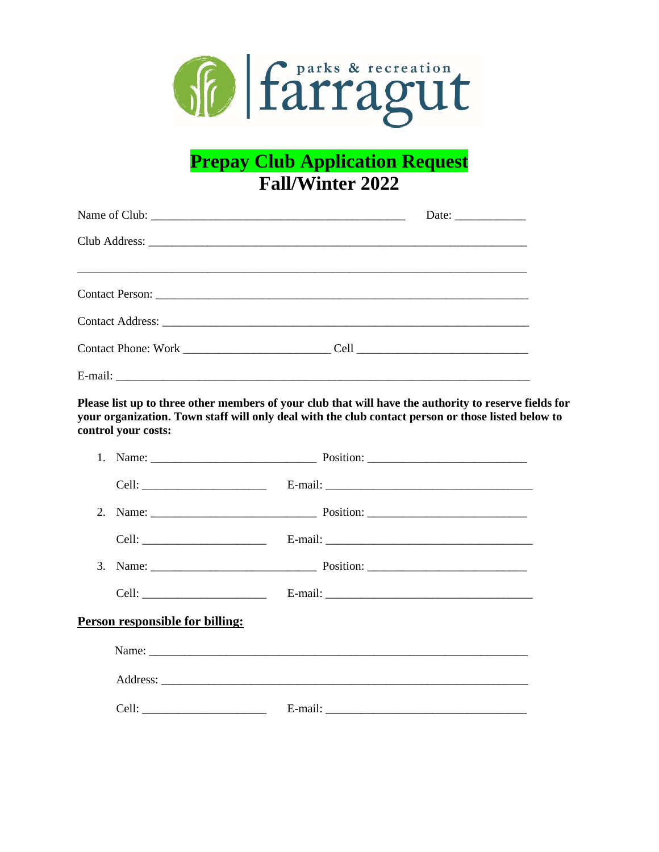

# **Prepay Club Application Request Fall/Winter 2022**

|            | Date: $\frac{1}{\sqrt{1-\frac{1}{2}} \cdot \frac{1}{2}}$ |
|------------|----------------------------------------------------------|
|            |                                                          |
|            |                                                          |
|            |                                                          |
|            |                                                          |
|            |                                                          |
| $E$ -mail: |                                                          |

Please list up to three other members of your club that will have the authority to reserve fields for your organization. Town staff will only deal with the club contact person or those listed below to control your costs:

| Person responsible for billing: |       |  |  |  |
|---------------------------------|-------|--|--|--|
|                                 |       |  |  |  |
|                                 |       |  |  |  |
|                                 | Cell: |  |  |  |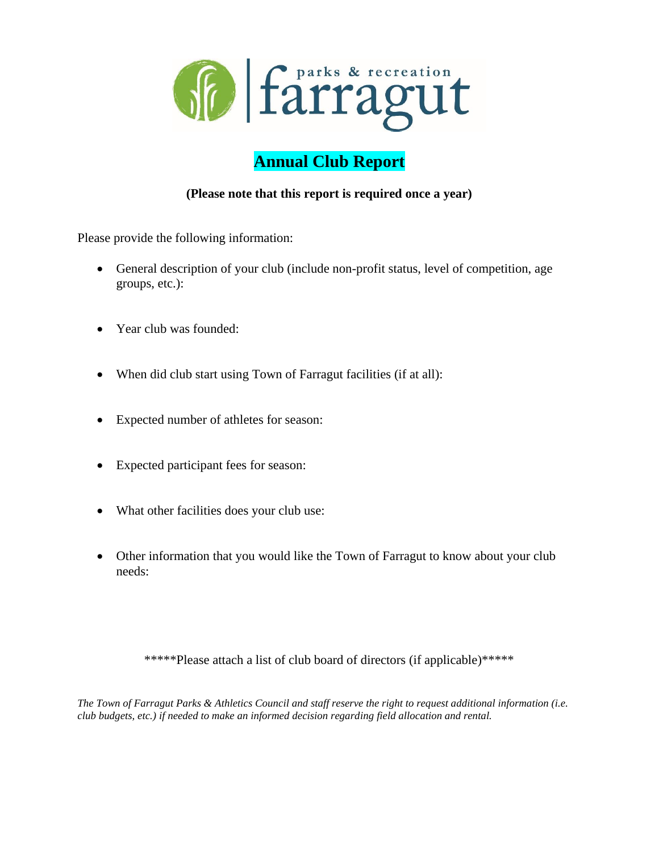

# **Annual Club Report**

# **(Please note that this report is required once a year)**

Please provide the following information:

- General description of your club (include non-profit status, level of competition, age groups, etc.):
- Year club was founded:
- When did club start using Town of Farragut facilities (if at all):
- Expected number of athletes for season:
- Expected participant fees for season:
- What other facilities does your club use:
- Other information that you would like the Town of Farragut to know about your club needs:

\*\*\*\*\*Please attach a list of club board of directors (if applicable)\*\*\*\*\*

*The Town of Farragut Parks & Athletics Council and staff reserve the right to request additional information (i.e. club budgets, etc.) if needed to make an informed decision regarding field allocation and rental.*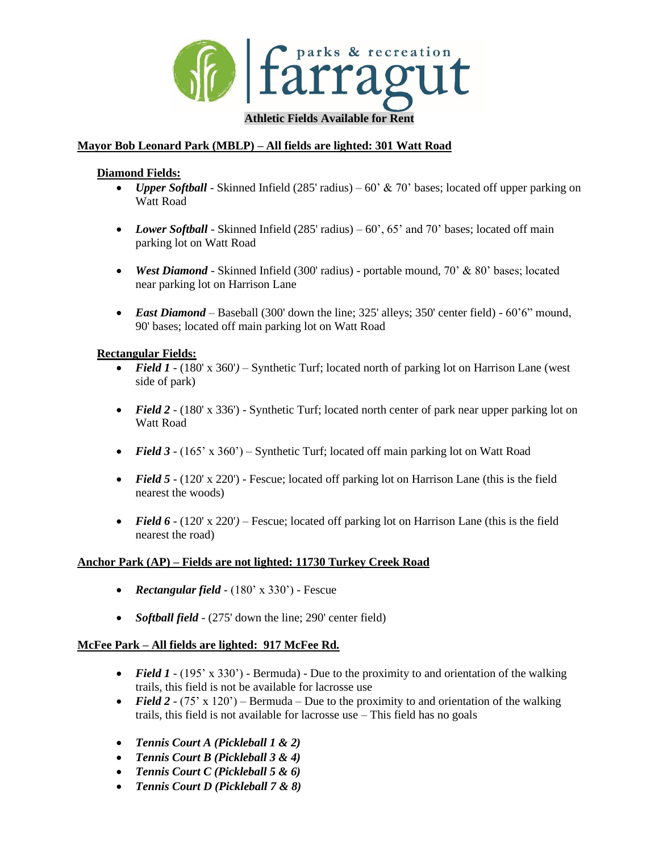

# **Mayor Bob Leonard Park (MBLP) – All fields are lighted: 301 Watt Road**

#### **Diamond Fields:**

- *Upper Softball* Skinned Infield (285' radius) 60' & 70' bases; located off upper parking on Watt Road
- *Lower Softball* Skinned Infield  $(285' \text{ radius}) 60'$ ,  $65' \text{ and } 70' \text{ bases}$ ; located off main parking lot on Watt Road
- *West Diamond* Skinned Infield (300' radius) portable mound, 70' & 80' bases; located near parking lot on Harrison Lane
- *East Diamond* Baseball (300' down the line; 325' alleys; 350' center field) 60'6" mound, 90' bases; located off main parking lot on Watt Road

#### **Rectangular Fields:**

- *Field 1* (180' x 360') Synthetic Turf; located north of parking lot on Harrison Lane (west side of park)
- *Field 2* (180' x 336') Synthetic Turf; located north center of park near upper parking lot on Watt Road
- *Field 3 -* (165' x 360') Synthetic Turf; located off main parking lot on Watt Road
- *Field 5*  $\cdot$  (120' x 220') Fescue; located off parking lot on Harrison Lane (this is the field nearest the woods)
- *Field 6*  $\cdot$  (120' x 220') Fescue; located off parking lot on Harrison Lane (this is the field nearest the road)

#### **Anchor Park (AP) – Fields are not lighted: 11730 Turkey Creek Road**

- *Rectangular field* (180' x 330') Fescue
- *Softball field* (275' down the line; 290' center field)

#### **McFee Park – All fields are lighted: 917 McFee Rd.**

- *Field 1* (195' x 330') Bermuda) Due to the proximity to and orientation of the walking trails, this field is not be available for lacrosse use
- *Field 2 (75' x 120')* Bermuda Due to the proximity to and orientation of the walking trails, this field is not available for lacrosse use – This field has no goals
- *Tennis Court A (Pickleball 1 & 2)*
- *Tennis Court B (Pickleball 3 & 4)*
- *Tennis Court C (Pickleball 5 & 6)*
- *Tennis Court D (Pickleball 7 & 8)*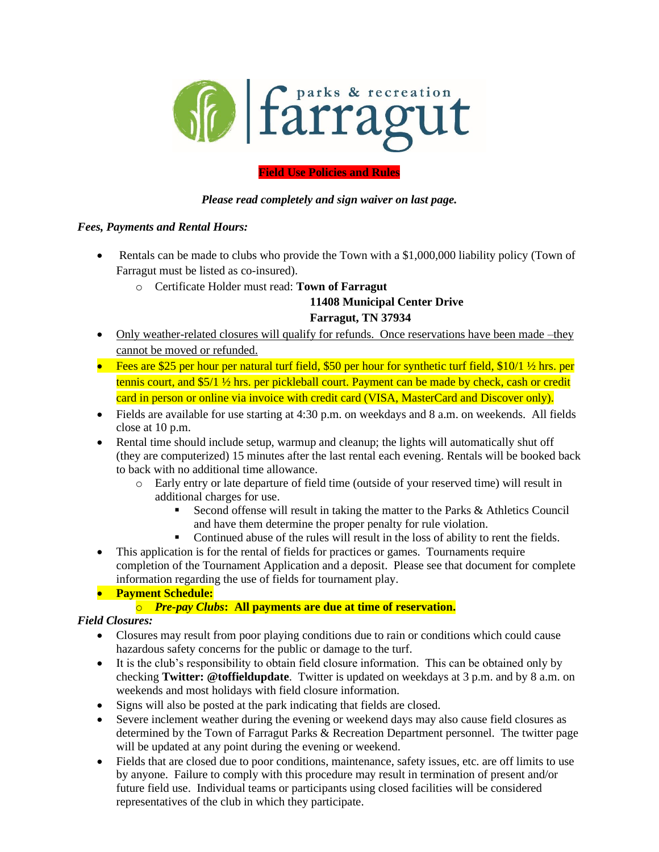

# **Field Use Policies and Rules**

# *Please read completely and sign waiver on last page.*

#### *Fees, Payments and Rental Hours:*

- Rentals can be made to clubs who provide the Town with a \$1,000,000 liability policy (Town of Farragut must be listed as co-insured).
	- o Certificate Holder must read: **Town of Farragut**

# **11408 Municipal Center Drive**

#### **Farragut, TN 37934**

- Only weather-related closures will qualify for refunds. Once reservations have been made –they cannot be moved or refunded.
- Fees are \$25 per hour per natural turf field, \$50 per hour for synthetic turf field, \$10/1  $\frac{1}{2}$  hrs. per tennis court, and \$5/1 ½ hrs. per pickleball court. Payment can be made by check, cash or credit card in person or online via invoice with credit card (VISA, MasterCard and Discover only).
- Fields are available for use starting at 4:30 p.m. on weekdays and 8 a.m. on weekends. All fields close at 10 p.m.
- Rental time should include setup, warmup and cleanup; the lights will automatically shut off (they are computerized) 15 minutes after the last rental each evening. Rentals will be booked back to back with no additional time allowance.
	- o Early entry or late departure of field time (outside of your reserved time) will result in additional charges for use.
		- Second offense will result in taking the matter to the Parks & Athletics Council and have them determine the proper penalty for rule violation.
		- Continued abuse of the rules will result in the loss of ability to rent the fields.
- This application is for the rental of fields for practices or games. Tournaments require completion of the Tournament Application and a deposit. Please see that document for complete information regarding the use of fields for tournament play.

# • **Payment Schedule:**

# o *Pre-pay Clubs***: All payments are due at time of reservation.**

# *Field Closures:*

- Closures may result from poor playing conditions due to rain or conditions which could cause hazardous safety concerns for the public or damage to the turf.
- It is the club's responsibility to obtain field closure information. This can be obtained only by checking **Twitter: @toffieldupdate**. Twitter is updated on weekdays at 3 p.m. and by 8 a.m. on weekends and most holidays with field closure information.
- Signs will also be posted at the park indicating that fields are closed.
- Severe inclement weather during the evening or weekend days may also cause field closures as determined by the Town of Farragut Parks & Recreation Department personnel. The twitter page will be updated at any point during the evening or weekend.
- Fields that are closed due to poor conditions, maintenance, safety issues, etc. are off limits to use by anyone. Failure to comply with this procedure may result in termination of present and/or future field use. Individual teams or participants using closed facilities will be considered representatives of the club in which they participate.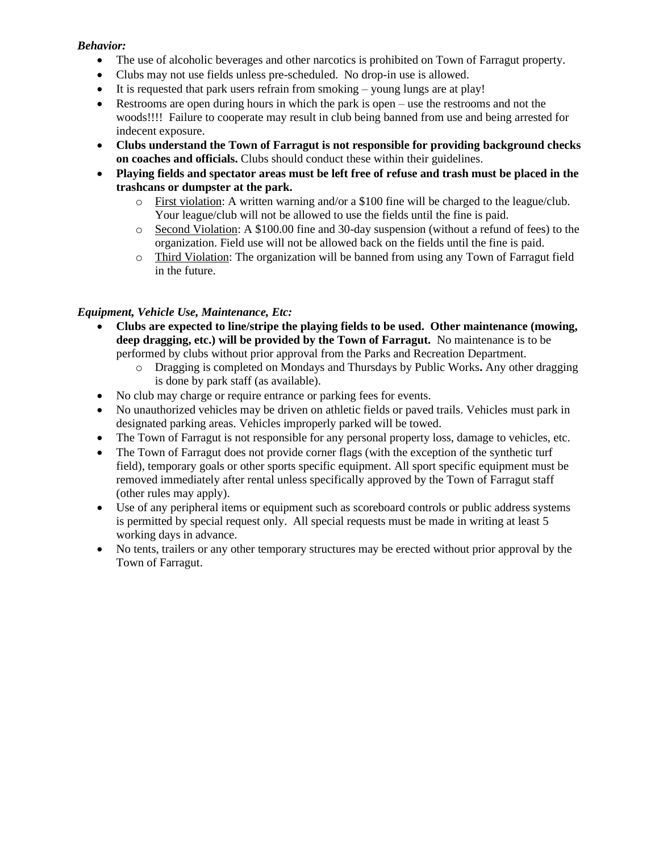## *Behavior:*

- The use of alcoholic beverages and other narcotics is prohibited on Town of Farragut property.
- Clubs may not use fields unless pre-scheduled. No drop-in use is allowed.
- It is requested that park users refrain from smoking young lungs are at play!
- Restrooms are open during hours in which the park is open use the restrooms and not the woods!!!! Failure to cooperate may result in club being banned from use and being arrested for indecent exposure.
- **Clubs understand the Town of Farragut is not responsible for providing background checks on coaches and officials.** Clubs should conduct these within their guidelines.
- **Playing fields and spectator areas must be left free of refuse and trash must be placed in the trashcans or dumpster at the park.**
	- o First violation: A written warning and/or a \$100 fine will be charged to the league/club. Your league/club will not be allowed to use the fields until the fine is paid.
	- o Second Violation: A \$100.00 fine and 30-day suspension (without a refund of fees) to the organization. Field use will not be allowed back on the fields until the fine is paid.
	- o Third Violation: The organization will be banned from using any Town of Farragut field in the future.

# *Equipment, Vehicle Use, Maintenance, Etc:*

- **Clubs are expected to line/stripe the playing fields to be used. Other maintenance (mowing, deep dragging, etc.) will be provided by the Town of Farragut.** No maintenance is to be performed by clubs without prior approval from the Parks and Recreation Department.
	- o Dragging is completed on Mondays and Thursdays by Public Works**.** Any other dragging is done by park staff (as available).
- No club may charge or require entrance or parking fees for events.
- No unauthorized vehicles may be driven on athletic fields or paved trails. Vehicles must park in designated parking areas. Vehicles improperly parked will be towed.
- The Town of Farragut is not responsible for any personal property loss, damage to vehicles, etc.
- The Town of Farragut does not provide corner flags (with the exception of the synthetic turf field), temporary goals or other sports specific equipment. All sport specific equipment must be removed immediately after rental unless specifically approved by the Town of Farragut staff (other rules may apply).
- Use of any peripheral items or equipment such as scoreboard controls or public address systems is permitted by special request only. All special requests must be made in writing at least 5 working days in advance.
- No tents, trailers or any other temporary structures may be erected without prior approval by the Town of Farragut.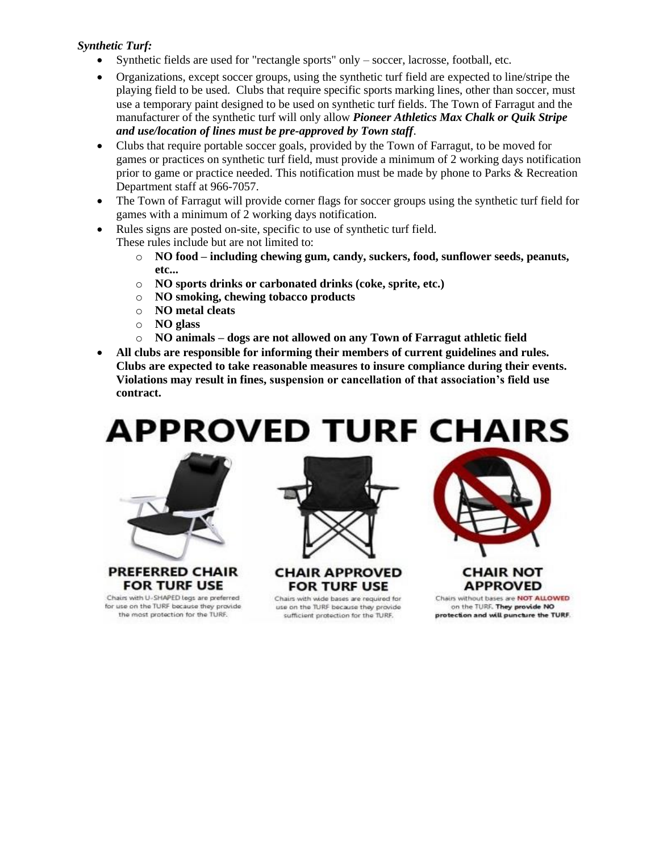# *Synthetic Turf:*

- Synthetic fields are used for "rectangle sports" only soccer, lacrosse, football, etc.
- Organizations, except soccer groups, using the synthetic turf field are expected to line/stripe the playing field to be used. Clubs that require specific sports marking lines, other than soccer, must use a temporary paint designed to be used on synthetic turf fields. The Town of Farragut and the manufacturer of the synthetic turf will only allow *Pioneer Athletics Max Chalk or Quik Stripe and use/location of lines must be pre-approved by Town staff*.
- Clubs that require portable soccer goals, provided by the Town of Farragut, to be moved for games or practices on synthetic turf field, must provide a minimum of 2 working days notification prior to game or practice needed. This notification must be made by phone to Parks & Recreation Department staff at 966-7057.
- The Town of Farragut will provide corner flags for soccer groups using the synthetic turf field for games with a minimum of 2 working days notification.
- Rules signs are posted on-site, specific to use of synthetic turf field. These rules include but are not limited to:
	- o **NO food – including chewing gum, candy, suckers, food, sunflower seeds, peanuts, etc...**
	- o **NO sports drinks or carbonated drinks (coke, sprite, etc.)**
	- o **NO smoking, chewing tobacco products**
	- o **NO metal cleats**
	- o **NO glass**
	- o **NO animals – dogs are not allowed on any Town of Farragut athletic field**
- **All clubs are responsible for informing their members of current guidelines and rules. Clubs are expected to take reasonable measures to insure compliance during their events. Violations may result in fines, suspension or cancellation of that association's field use contract.**

**APPROVED TURF CHAIRS** 



PREFERRED CHAIR **FOR TURF USE** 

Chairs with U-SHAPED legs are preferred for use on the TURF because they provide the most protection for the TURF.





Chairs with wide bases are required for use on the TURF because they provide sufficient protection for the TURF.



# CHAIR NOT **APPROVED**

Chairs without bases are NOT ALLOWED on the TURF. They provide NO protection and will puncture the TURF.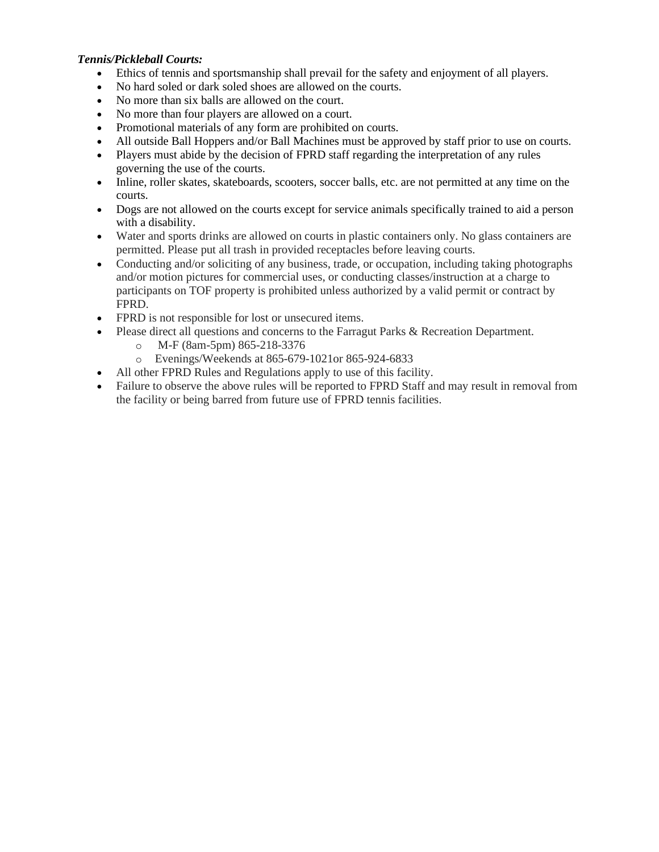# *Tennis/Pickleball Courts:*

- Ethics of tennis and sportsmanship shall prevail for the safety and enjoyment of all players.
- No hard soled or dark soled shoes are allowed on the courts.
- No more than six balls are allowed on the court.
- No more than four players are allowed on a court.
- Promotional materials of any form are prohibited on courts.
- All outside Ball Hoppers and/or Ball Machines must be approved by staff prior to use on courts.
- Players must abide by the decision of FPRD staff regarding the interpretation of any rules governing the use of the courts.
- Inline, roller skates, skateboards, scooters, soccer balls, etc. are not permitted at any time on the courts.
- Dogs are not allowed on the courts except for service animals specifically trained to aid a person with a disability.
- Water and sports drinks are allowed on courts in plastic containers only. No glass containers are permitted. Please put all trash in provided receptacles before leaving courts.
- Conducting and/or soliciting of any business, trade, or occupation, including taking photographs and/or motion pictures for commercial uses, or conducting classes/instruction at a charge to participants on TOF property is prohibited unless authorized by a valid permit or contract by FPRD.
- FPRD is not responsible for lost or unsecured items.
- Please direct all questions and concerns to the Farragut Parks & Recreation Department.
	- o M-F (8am-5pm) 865-218-3376
	- o Evenings/Weekends at 865-679-1021or 865-924-6833
- All other FPRD Rules and Regulations apply to use of this facility.
- Failure to observe the above rules will be reported to FPRD Staff and may result in removal from the facility or being barred from future use of FPRD tennis facilities.